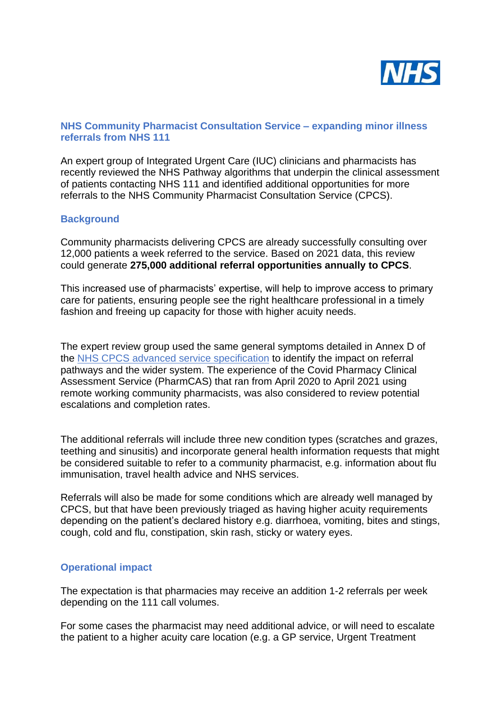

## **NHS Community Pharmacist Consultation Service – expanding minor illness referrals from NHS 111**

An expert group of Integrated Urgent Care (IUC) clinicians and pharmacists has recently reviewed the NHS Pathway algorithms that underpin the clinical assessment of patients contacting NHS 111 and identified additional opportunities for more referrals to the NHS Community Pharmacist Consultation Service (CPCS).

## **Background**

Community pharmacists delivering CPCS are already successfully consulting over 12,000 patients a week referred to the service. Based on 2021 data, this review could generate **275,000 additional referral opportunities annually to CPCS**.

This increased use of pharmacists' expertise, will help to improve access to primary care for patients, ensuring people see the right healthcare professional in a timely fashion and freeing up capacity for those with higher acuity needs.

The expert review group used the same general symptoms detailed in Annex D of the [NHS CPCS advanced service specification](https://www.england.nhs.uk/publication/advanced-service-specification-nhs-community-pharmacist-consultation-service/) to identify the impact on referral pathways and the wider system. The experience of the Covid Pharmacy Clinical Assessment Service (PharmCAS) that ran from April 2020 to April 2021 using remote working community pharmacists, was also considered to review potential escalations and completion rates.

The additional referrals will include three new condition types (scratches and grazes, teething and sinusitis) and incorporate general health information requests that might be considered suitable to refer to a community pharmacist, e.g. information about flu immunisation, travel health advice and NHS services.

Referrals will also be made for some conditions which are already well managed by CPCS, but that have been previously triaged as having higher acuity requirements depending on the patient's declared history e.g. diarrhoea, vomiting, bites and stings, cough, cold and flu, constipation, skin rash, sticky or watery eyes.

## **Operational impact**

The expectation is that pharmacies may receive an addition 1-2 referrals per week depending on the 111 call volumes.

For some cases the pharmacist may need additional advice, or will need to escalate the patient to a higher acuity care location (e.g. a GP service, Urgent Treatment